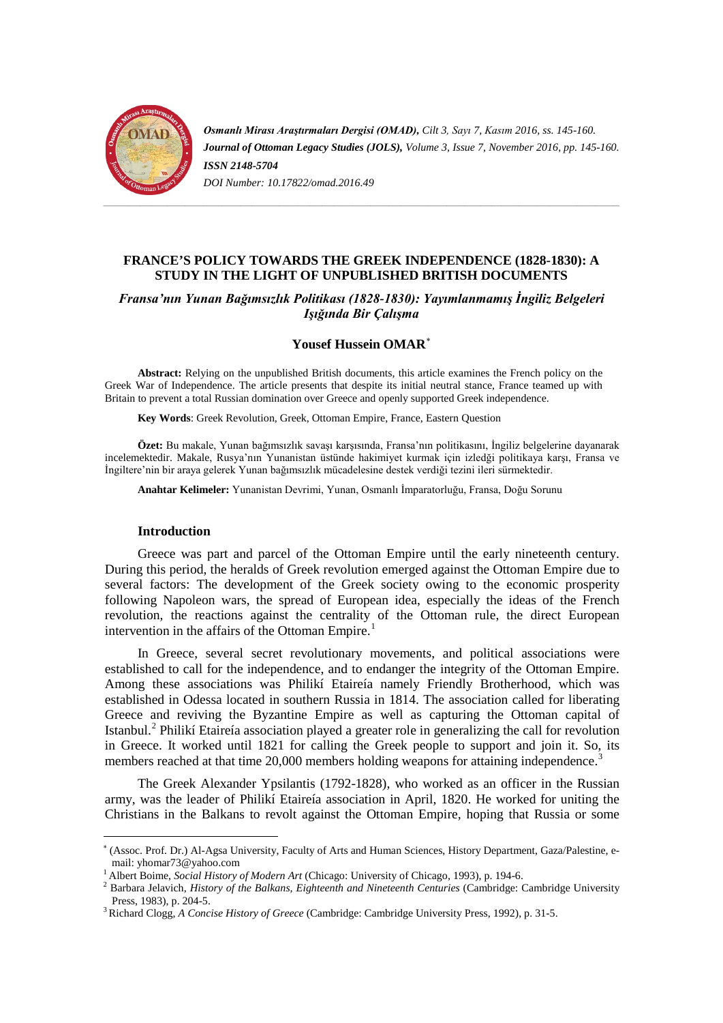

*Osmanlı Mirası Araştırmaları Dergisi (OMAD), Cilt 3, Sayı 7, Kasım 2016, ss. 145-160. Journal of Ottoman Legacy Studies (JOLS), Volume 3, Issue 7, November 2016, pp. 145-160. ISSN 2148-5704 DOI Number: 10.17822/omad.2016.49*

# **FRANCE'S POLICY TOWARDS THE GREEK INDEPENDENCE (1828-1830): A STUDY IN THE LIGHT OF UNPUBLISHED BRITISH DOCUMENTS**

*Fransa'nın Yunan Bağımsızlık Politikası (1828-1830): Yayımlanmamış İngiliz Belgeleri Işığında Bir Çalışma*

# **Yousef Hussein OMAR**[∗](#page-0-0)

**Abstract:** Relying on the unpublished British documents, this article examines the French policy on the Greek War of Independence. The article presents that despite its initial neutral stance, France teamed up with Britain to prevent a total Russian domination over Greece and openly supported Greek independence.

**Key Words**: Greek Revolution, Greek, Ottoman Empire, France, Eastern Question

**Özet:** Bu makale, Yunan bağımsızlık savaşı karşısında, Fransa'nın politikasını, İngiliz belgelerine dayanarak incelemektedir. Makale, Rusya'nın Yunanistan üstünde hakimiyet kurmak için izledği politikaya karşı, Fransa ve İngiltere'nin bir araya gelerek Yunan bağımsızlık mücadelesine destek verdiği tezini ileri sürmektedir.

**Anahtar Kelimeler:** Yunanistan Devrimi, Yunan, Osmanlı İmparatorluğu, Fransa, Doğu Sorunu

#### **Introduction**

Greece was part and parcel of the Ottoman Empire until the early nineteenth century. During this period, the heralds of Greek revolution emerged against the Ottoman Empire due to several factors: The development of the Greek society owing to the economic prosperity following Napoleon wars, the spread of European idea, especially the ideas of the French revolution, the reactions against the centrality of the Ottoman rule, the direct European intervention in the affairs of the Ottoman Empire.<sup>[1](#page-0-1)</sup>

In Greece, several secret revolutionary movements, and political associations were established to call for the independence, and to endanger the integrity of the Ottoman Empire. Among these associations was Philikí Etaireía namely Friendly Brotherhood, which was established in Odessa located in southern Russia in 1814. The association called for liberating Greece and reviving the Byzantine Empire as well as capturing the Ottoman capital of Istanbul.[2](#page-0-2) Philikí Etaireía association played a greater role in generalizing the call for revolution in Greece. It worked until 1821 for calling the Greek people to support and join it. So, its members reached at that time 20,000 members holding weapons for attaining independence.<sup>[3](#page-0-3)</sup>

The Greek Alexander Ypsilantis (1792-1828), who worked as an officer in the Russian army, was the leader of Philikí Etaireía association in April, 1820. He worked for uniting the Christians in the Balkans to revolt against the Ottoman Empire, hoping that Russia or some

<span id="page-0-0"></span><sup>∗</sup> (Assoc. Prof. Dr.) Al-Agsa University, Faculty of Arts and Human Sciences, History Department, Gaza/Palestine, e-

<span id="page-0-2"></span>

<span id="page-0-1"></span><sup>&</sup>lt;sup>1</sup> Albert Boime, *Social History of Modern Art* (Chicago: University of Chicago, 1993), p. 194-6.<br><sup>2</sup> Barbara Jelavich, *History of the Balkans, Eighteenth and Nineteenth Centuries* (Cambridge: Cambridge University Press, 1983), p. 204-5. 3 Richard Clogg, *A Concise History of Greece* (Cambridge: Cambridge University Press, 1992), p. 31-5.

<span id="page-0-3"></span>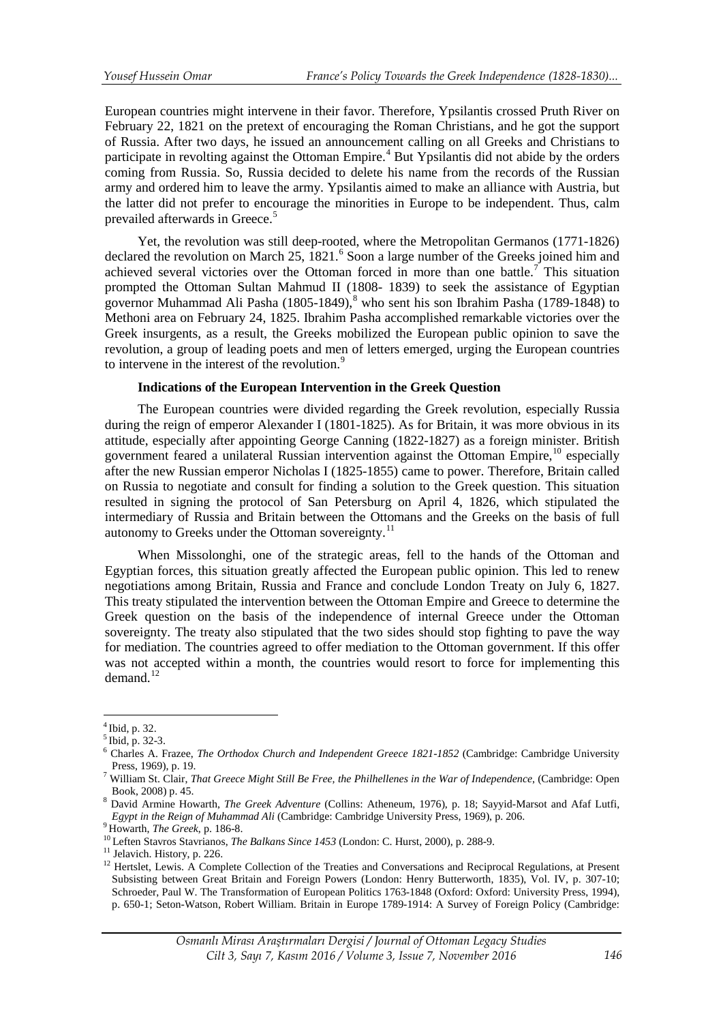European countries might intervene in their favor. Therefore, Ypsilantis crossed Pruth River on February 22, 1821 on the pretext of encouraging the Roman Christians, and he got the support of Russia. After two days, he issued an announcement calling on all Greeks and Christians to participate in revolting against the Ottoman Empire.<sup>[4](#page-1-0)</sup> But Ypsilantis did not abide by the orders coming from Russia. So, Russia decided to delete his name from the records of the Russian army and ordered him to leave the army. Ypsilantis aimed to make an alliance with Austria, but the latter did not prefer to encourage the minorities in Europe to be independent. Thus, calm prevailed afterwards in Greece.<sup>[5](#page-1-1)</sup>

Yet, the revolution was still deep-rooted, where the Metropolitan Germanos (1771-1826) declared the revolution on March 25, 1821.<sup>[6](#page-1-2)</sup> Soon a large number of the Greeks joined him and achieved several victories over the Ottoman forced in more than one battle.<sup>[7](#page-1-3)</sup> This situation prompted the Ottoman Sultan Mahmud II (1808- 1839) to seek the assistance of Egyptian governor Muhammad Ali Pasha  $(1805-1849)$  $(1805-1849)$  $(1805-1849)$ , who sent his son Ibrahim Pasha  $(1789-1848)$  to Methoni area on February 24, 1825. Ibrahim Pasha accomplished remarkable victories over the Greek insurgents, as a result, the Greeks mobilized the European public opinion to save the revolution, a group of leading poets and men of letters emerged, urging the European countries to intervene in the interest of the revolution.<sup>[9](#page-1-5)</sup>

# **Indications of the European Intervention in the Greek Question**

The European countries were divided regarding the Greek revolution, especially Russia during the reign of emperor Alexander I (1801-1825). As for Britain, it was more obvious in its attitude, especially after appointing George Canning (1822-1827) as a foreign minister. British government feared a unilateral Russian intervention against the Ottoman Empire,  $10$  especially after the new Russian emperor Nicholas I (1825-1855) came to power. Therefore, Britain called on Russia to negotiate and consult for finding a solution to the Greek question. This situation resulted in signing the protocol of San Petersburg on April 4, 1826, which stipulated the intermediary of Russia and Britain between the Ottomans and the Greeks on the basis of full autonomy to Greeks under the Ottoman sovereignty.<sup>[11](#page-1-7)</sup>

When Missolonghi, one of the strategic areas, fell to the hands of the Ottoman and Egyptian forces, this situation greatly affected the European public opinion. This led to renew negotiations among Britain, Russia and France and conclude London Treaty on July 6, 1827. This treaty stipulated the intervention between the Ottoman Empire and Greece to determine the Greek question on the basis of the independence of internal Greece under the Ottoman sovereignty. The treaty also stipulated that the two sides should stop fighting to pave the way for mediation. The countries agreed to offer mediation to the Ottoman government. If this offer was not accepted within a month, the countries would resort to force for implementing this demand. $12$ 

<span id="page-1-0"></span> $^{4}$  Ibid, p. 32.<br> $^{5}$  Ibid, p. 32-3.

<span id="page-1-2"></span><span id="page-1-1"></span><sup>&</sup>lt;sup>6</sup> Charles A. Frazee, *The Orthodox Church and Independent Greece 1821-1852* (Cambridge: Cambridge University Press, 1969), p. 19.<br>William St. Clair, *That Greece Might Still Be Free, the Philhellenes in the War of Independence*, (Cambridge: Open

<span id="page-1-3"></span>

<span id="page-1-4"></span>Book, 2008) p. 45.<br><sup>8</sup> David Armine Howarth, *The Greek Adventure* (Collins: Atheneum, 1976), p. 18; Sayyid-Marsot and Afaf Lutfi, *Egypt in the Reign of Muhammad Ali* (Cambridge: Cambridge University Press, 1969), p. 206.

<span id="page-1-7"></span>

<span id="page-1-8"></span>

<span id="page-1-6"></span><span id="page-1-5"></span><sup>&</sup>lt;sup>9</sup> Howarth, *The Greek*, p. 186-8.<br><sup>10</sup> Leften Stavros Stavrianos, *The Balkans Since 1453* (London: C. Hurst, 2000), p. 288-9.<br><sup>11</sup> Jelavich. History, p. 226.<br><sup>12</sup> Hertslet, Lewis. A Complete Collection of the Treaties Subsisting between Great Britain and Foreign Powers (London: Henry Butterworth, 1835), Vol. IV, p. 307-10; Schroeder, Paul W. The Transformation of European Politics 1763-1848 (Oxford: Oxford: University Press, 1994), p. 650-1; Seton-Watson, Robert William. Britain in Europe 1789-1914: A Survey of Foreign Policy (Cambridge: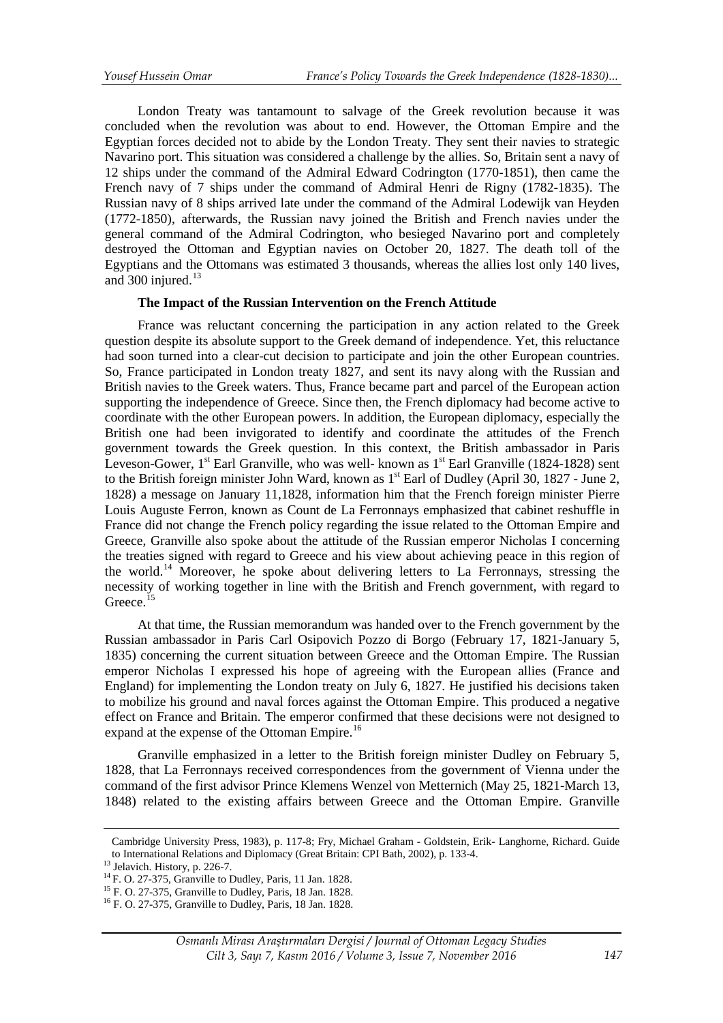London Treaty was tantamount to salvage of the Greek revolution because it was concluded when the revolution was about to end. However, the Ottoman Empire and the Egyptian forces decided not to abide by the London Treaty. They sent their navies to strategic Navarino port. This situation was considered a challenge by the allies. So, Britain sent a navy of 12 ships under the command of the Admiral Edward Codrington (1770-1851), then came the French navy of 7 ships under the command of Admiral Henri de Rigny (1782-1835). The Russian navy of 8 ships arrived late under the command of the Admiral Lodewijk van Heyden (1772-1850), afterwards, the Russian navy joined the British and French navies under the general command of the Admiral Codrington, who besieged Navarino port and completely destroyed the Ottoman and Egyptian navies on October 20, 1827. The death toll of the Egyptians and the Ottomans was estimated 3 thousands, whereas the allies lost only 140 lives, and  $300$  injured.<sup>13</sup>

### **The Impact of the Russian Intervention on the French Attitude**

France was reluctant concerning the participation in any action related to the Greek question despite its absolute support to the Greek demand of independence. Yet, this reluctance had soon turned into a clear-cut decision to participate and join the other European countries. So, France participated in London treaty 1827, and sent its navy along with the Russian and British navies to the Greek waters. Thus, France became part and parcel of the European action supporting the independence of Greece. Since then, the French diplomacy had become active to coordinate with the other European powers. In addition, the European diplomacy, especially the British one had been invigorated to identify and coordinate the attitudes of the French government towards the Greek question. In this context, the British ambassador in Paris Leveson-Gower,  $1^{st}$  Earl Granville, who was well-known as  $1^{st}$  Earl Granville (1824-1828) sent to the British foreign minister John Ward, known as  $1<sup>st</sup>$  Earl of Dudley (April 30, 1827 - June 2, 1828) a message on January 11,1828, information him that the French foreign minister Pierre Louis Auguste Ferron, known as Count de La Ferronnays emphasized that cabinet reshuffle in France did not change the French policy regarding the issue related to the Ottoman Empire and Greece, Granville also spoke about the attitude of the Russian emperor Nicholas I concerning the treaties signed with regard to Greece and his view about achieving peace in this region of the world.[14](#page-2-1) Moreover, he spoke about delivering letters to La Ferronnays, stressing the necessity of working together in line with the British and French government, with regard to Greece.<sup>15</sup>

At that time, the Russian memorandum was handed over to the French government by the Russian ambassador in Paris Carl Osipovich Pozzo di Borgo (February 17, 1821-January 5, 1835) concerning the current situation between Greece and the Ottoman Empire. The Russian emperor Nicholas I expressed his hope of agreeing with the European allies (France and England) for implementing the London treaty on July 6, 1827. He justified his decisions taken to mobilize his ground and naval forces against the Ottoman Empire. This produced a negative effect on France and Britain. The emperor confirmed that these decisions were not designed to expand at the expense of the Ottoman Empire.<sup>[16](#page-2-3)</sup>

Granville emphasized in a letter to the British foreign minister Dudley on February 5, 1828, that La Ferronnays received correspondences from the government of Vienna under the command of the first advisor Prince Klemens Wenzel von Metternich (May 25, 1821-March 13, 1848) related to the existing affairs between Greece and the Ottoman Empire. Granville

 $\overline{a}$ 

Cambridge University Press, 1983), p. 117-8; Fry, Michael Graham - Goldstein, Erik- Langhorne, Richard. Guide to International Relations and Diplomacy (Great Britain: CPI Bath, 2002), p. 133-4.<br><sup>13</sup> Jelavich. History, p. 226-7.<br><sup>14</sup> F. O. 27-375, Granville to Dudley, Paris, 11 Jan. 1828.<br><sup>15</sup> F. O. 27-375, Granville to Dudley, Pa

<span id="page-2-0"></span>

<span id="page-2-1"></span>

<span id="page-2-3"></span><span id="page-2-2"></span>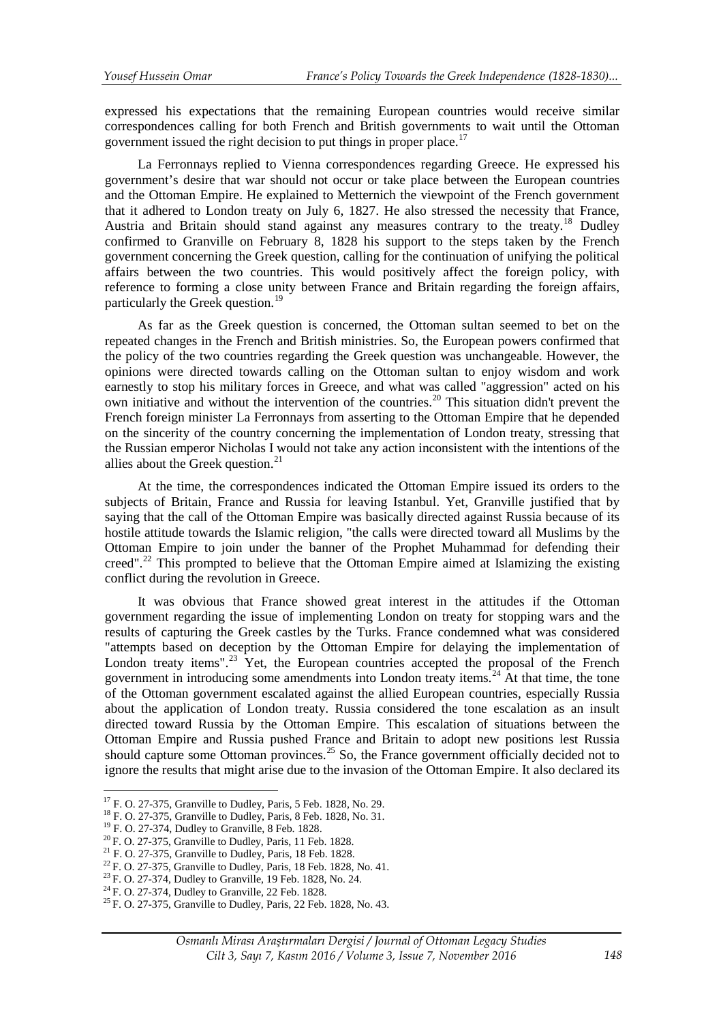expressed his expectations that the remaining European countries would receive similar correspondences calling for both French and British governments to wait until the Ottoman government issued the right decision to put things in proper place.<sup>[17](#page-3-0)</sup>

La Ferronnays replied to Vienna correspondences regarding Greece. He expressed his government's desire that war should not occur or take place between the European countries and the Ottoman Empire. He explained to Metternich the viewpoint of the French government that it adhered to London treaty on July 6, 1827. He also stressed the necessity that France, Austria and Britain should stand against any measures contrary to the treaty.<sup>[18](#page-3-1)</sup> Dudley confirmed to Granville on February 8, 1828 his support to the steps taken by the French government concerning the Greek question, calling for the continuation of unifying the political affairs between the two countries. This would positively affect the foreign policy, with reference to forming a close unity between France and Britain regarding the foreign affairs, particularly the Greek question.<sup>[19](#page-3-2)</sup>

As far as the Greek question is concerned, the Ottoman sultan seemed to bet on the repeated changes in the French and British ministries. So, the European powers confirmed that the policy of the two countries regarding the Greek question was unchangeable. However, the opinions were directed towards calling on the Ottoman sultan to enjoy wisdom and work earnestly to stop his military forces in Greece, and what was called "aggression" acted on his own initiative and without the intervention of the countries.<sup>[20](#page-3-3)</sup> This situation didn't prevent the French foreign minister La Ferronnays from asserting to the Ottoman Empire that he depended on the sincerity of the country concerning the implementation of London treaty, stressing that the Russian emperor Nicholas I would not take any action inconsistent with the intentions of the allies about the Greek question.<sup>21</sup>

At the time, the correspondences indicated the Ottoman Empire issued its orders to the subjects of Britain, France and Russia for leaving Istanbul. Yet, Granville justified that by saying that the call of the Ottoman Empire was basically directed against Russia because of its hostile attitude towards the Islamic religion, "the calls were directed toward all Muslims by the Ottoman Empire to join under the banner of the Prophet Muhammad for defending their creed".<sup>[22](#page-3-5)</sup> This prompted to believe that the Ottoman Empire aimed at Islamizing the existing conflict during the revolution in Greece.

It was obvious that France showed great interest in the attitudes if the Ottoman government regarding the issue of implementing London on treaty for stopping wars and the results of capturing the Greek castles by the Turks. France condemned what was considered "attempts based on deception by the Ottoman Empire for delaying the implementation of London treaty items".<sup>[23](#page-3-6)</sup> Yet, the European countries accepted the proposal of the French government in introducing some amendments into London treaty items.<sup>[24](#page-3-7)</sup> At that time, the tone of the Ottoman government escalated against the allied European countries, especially Russia about the application of London treaty. Russia considered the tone escalation as an insult directed toward Russia by the Ottoman Empire. This escalation of situations between the Ottoman Empire and Russia pushed France and Britain to adopt new positions lest Russia should capture some Ottoman provinces.<sup>[25](#page-3-8)</sup> So, the France government officially decided not to ignore the results that might arise due to the invasion of the Ottoman Empire. It also declared its

<span id="page-3-3"></span>

 $17$  F. O. 27-375, Granville to Dudley, Paris, 5 Feb. 1828, No. 29.

<span id="page-3-2"></span><span id="page-3-1"></span><span id="page-3-0"></span><sup>&</sup>lt;sup>18</sup> F. O. 27-375, Granville to Dudley, Paris, 8 Feb. 1828, No. 31.<br><sup>19</sup> F. O. 27-374, Dudley to Granville, 8 Feb. 1828.<br><sup>20</sup> F. O. 27-375, Granville to Dudley, Paris, 11 Feb. 1828.<br><sup>21</sup> F. O. 27-375, Granville to Dudley,

<span id="page-3-4"></span>

<span id="page-3-5"></span>

<span id="page-3-6"></span>

<span id="page-3-8"></span><span id="page-3-7"></span>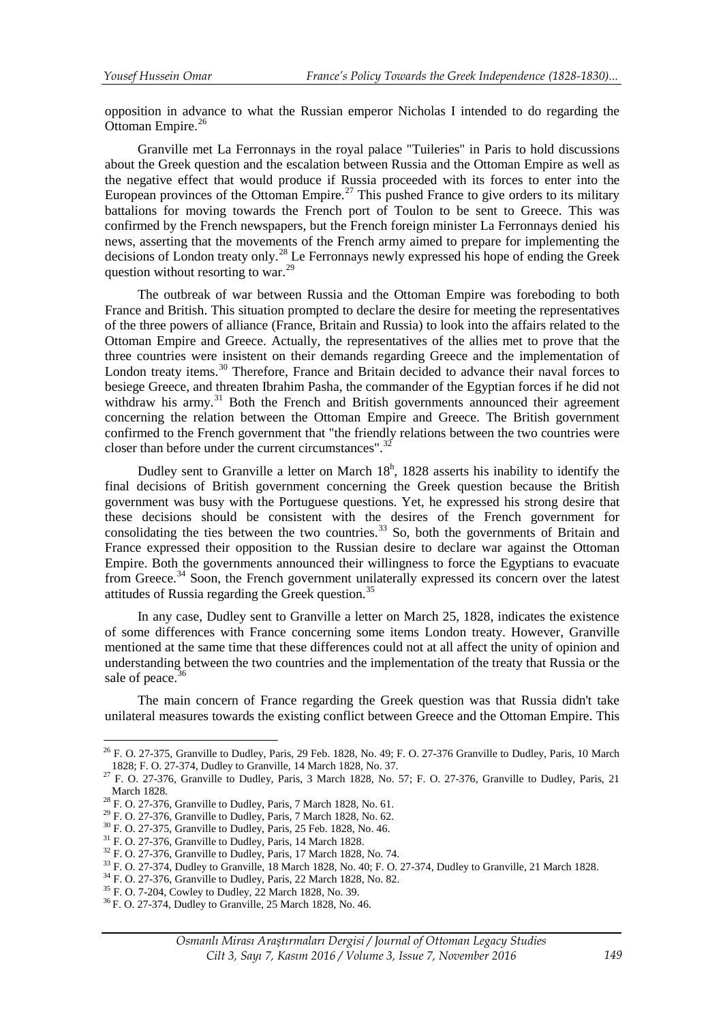opposition in advance to what the Russian emperor Nicholas I intended to do regarding the Ottoman Empire.<sup>[26](#page-4-0)</sup>

Granville met La Ferronnays in the royal palace "Tuileries" in Paris to hold discussions about the Greek question and the escalation between Russia and the Ottoman Empire as well as the negative effect that would produce if Russia proceeded with its forces to enter into the European provinces of the Ottoman Empire.<sup>[27](#page-4-1)</sup> This pushed France to give orders to its military battalions for moving towards the French port of Toulon to be sent to Greece. This was confirmed by the French newspapers, but the French foreign minister La Ferronnays denied his news, asserting that the movements of the French army aimed to prepare for implementing the decisions of London treaty only.<sup>[28](#page-4-2)</sup> Le Ferronnays newly expressed his hope of ending the Greek question without resorting to war.<sup>[29](#page-4-3)</sup>

The outbreak of war between Russia and the Ottoman Empire was foreboding to both France and British. This situation prompted to declare the desire for meeting the representatives of the three powers of alliance (France, Britain and Russia) to look into the affairs related to the Ottoman Empire and Greece. Actually, the representatives of the allies met to prove that the three countries were insistent on their demands regarding Greece and the implementation of London treaty items.<sup>[30](#page-4-4)</sup> Therefore, France and Britain decided to advance their naval forces to besiege Greece, and threaten Ibrahim Pasha, the commander of the Egyptian forces if he did not withdraw his army.<sup>[31](#page-4-5)</sup> Both the French and British governments announced their agreement concerning the relation between the Ottoman Empire and Greece. The British government confirmed to the French government that "the friendly relations between the two countries were closer than before under the current circumstances". $32$ 

Dudley sent to Granville a letter on March  $18^h$ , 1828 asserts his inability to identify the final decisions of British government concerning the Greek question because the British government was busy with the Portuguese questions. Yet, he expressed his strong desire that these decisions should be consistent with the desires of the French government for consolidating the ties between the two countries.<sup>[33](#page-4-7)</sup> So, both the governments of Britain and France expressed their opposition to the Russian desire to declare war against the Ottoman Empire. Both the governments announced their willingness to force the Egyptians to evacuate from Greece.<sup>[34](#page-4-8)</sup> Soon, the French government unilaterally expressed its concern over the latest attitudes of Russia regarding the Greek question.<sup>35</sup>

In any case, Dudley sent to Granville a letter on March 25, 1828, indicates the existence of some differences with France concerning some items London treaty. However, Granville mentioned at the same time that these differences could not at all affect the unity of opinion and understanding between the two countries and the implementation of the treaty that Russia or the sale of peace.<sup>[36](#page-4-10)</sup>

The main concern of France regarding the Greek question was that Russia didn't take unilateral measures towards the existing conflict between Greece and the Ottoman Empire. This

<u>.</u>

<span id="page-4-0"></span><sup>&</sup>lt;sup>26</sup> F. O. 27-375, Granville to Dudley, Paris, 29 Feb. 1828, No. 49; F. O. 27-376 Granville to Dudley, Paris, 10 March 1828; F. O. 27-374, Dudley to Granville, 14 March 1828, No. 37.

<span id="page-4-1"></span><sup>1828;</sup> F. O. 27-376, Granville to Dudley, Paris, 3 March 1828, No. 57; F. O. 27-376, Granville to Dudley, Paris, 21<br>March 1828.

<span id="page-4-4"></span>

<span id="page-4-5"></span>

<span id="page-4-7"></span><span id="page-4-6"></span>

<span id="page-4-3"></span><span id="page-4-2"></span><sup>&</sup>lt;sup>28</sup> F. O. 27-376, Granville to Dudley, Paris, 7 March 1828, No. 61.<br><sup>29</sup> F. O. 27-376, Granville to Dudley, Paris, 7 March 1828, No. 62.<br><sup>30</sup> F. O. 27-375, Granville to Dudley, Paris, 25 Feb. 1828, No. 46.<br><sup>31</sup> F. O. 27-

<span id="page-4-8"></span>

<span id="page-4-10"></span><span id="page-4-9"></span>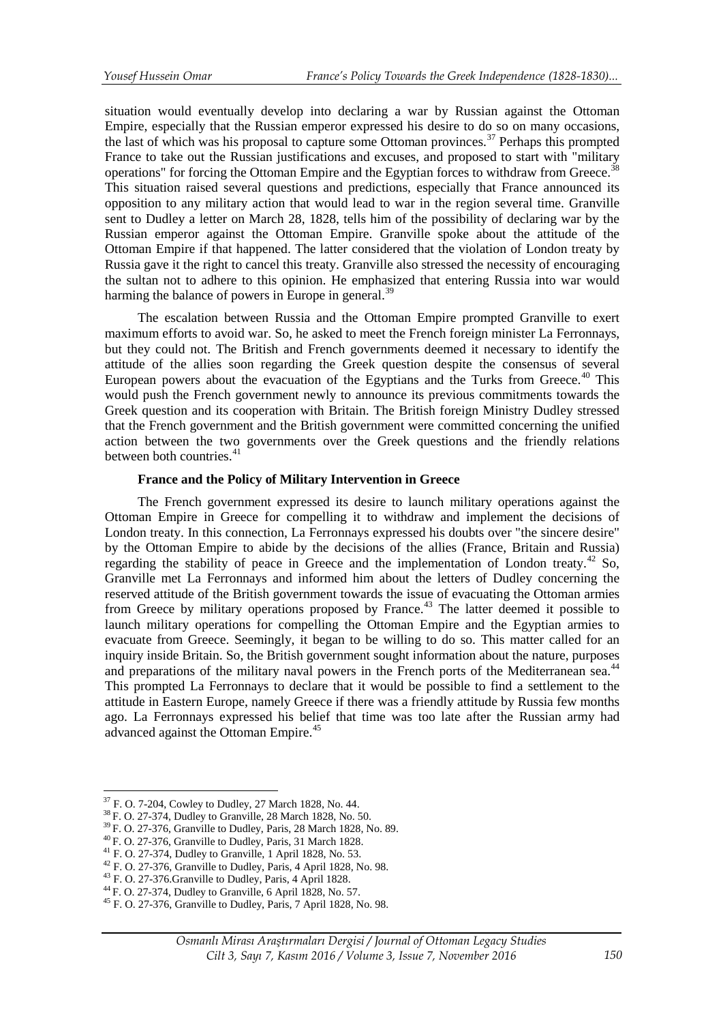situation would eventually develop into declaring a war by Russian against the Ottoman Empire, especially that the Russian emperor expressed his desire to do so on many occasions, the last of which was his proposal to capture some Ottoman provinces.<sup>[37](#page-5-0)</sup> Perhaps this prompted France to take out the Russian justifications and excuses, and proposed to start with "military" operations" for forcing the Ottoman Empire and the Egyptian forces to withdraw from Greece.<sup>[38](#page-5-1)</sup> This situation raised several questions and predictions, especially that France announced its opposition to any military action that would lead to war in the region several time. Granville sent to Dudley a letter on March 28, 1828, tells him of the possibility of declaring war by the Russian emperor against the Ottoman Empire. Granville spoke about the attitude of the Ottoman Empire if that happened. The latter considered that the violation of London treaty by Russia gave it the right to cancel this treaty. Granville also stressed the necessity of encouraging the sultan not to adhere to this opinion. He emphasized that entering Russia into war would harming the balance of powers in Europe in general.<sup>[39](#page-5-2)</sup>

The escalation between Russia and the Ottoman Empire prompted Granville to exert maximum efforts to avoid war. So, he asked to meet the French foreign minister La Ferronnays, but they could not. The British and French governments deemed it necessary to identify the attitude of the allies soon regarding the Greek question despite the consensus of several European powers about the evacuation of the Egyptians and the Turks from Greece.<sup> $40$ </sup> This would push the French government newly to announce its previous commitments towards the Greek question and its cooperation with Britain. The British foreign Ministry Dudley stressed that the French government and the British government were committed concerning the unified action between the two governments over the Greek questions and the friendly relations between both countries.<sup>[41](#page-5-4)</sup>

# **France and the Policy of Military Intervention in Greece**

The French government expressed its desire to launch military operations against the Ottoman Empire in Greece for compelling it to withdraw and implement the decisions of London treaty. In this connection, La Ferronnays expressed his doubts over "the sincere desire" by the Ottoman Empire to abide by the decisions of the allies (France, Britain and Russia) regarding the stability of peace in Greece and the implementation of London treaty.<sup>42</sup> So, Granville met La Ferronnays and informed him about the letters of Dudley concerning the reserved attitude of the British government towards the issue of evacuating the Ottoman armies from Greece by military operations proposed by France.<sup>[43](#page-5-6)</sup> The latter deemed it possible to launch military operations for compelling the Ottoman Empire and the Egyptian armies to evacuate from Greece. Seemingly, it began to be willing to do so. This matter called for an inquiry inside Britain. So, the British government sought information about the nature, purposes and preparations of the military naval powers in the French ports of the Mediterranean sea.<sup>[44](#page-5-7)</sup> This prompted La Ferronnays to declare that it would be possible to find a settlement to the attitude in Eastern Europe, namely Greece if there was a friendly attitude by Russia few months ago. La Ferronnays expressed his belief that time was too late after the Russian army had advanced against the Ottoman Empire.<sup>[45](#page-5-8)</sup>

<span id="page-5-4"></span>

<sup>&</sup>lt;sup>37</sup> F. O. 7-204, Cowley to Dudley, 27 March 1828, No. 44.

<span id="page-5-2"></span><span id="page-5-1"></span><span id="page-5-0"></span><sup>&</sup>lt;sup>38</sup> F. O. 27-374, Dudley to Granville, 28 March 1828, No. 50.<br><sup>39</sup> F. O. 27-376, Granville to Dudley, Paris, 28 March 1828, No. 89.<br><sup>40</sup> F. O. 27-376, Granville to Dudley, Paris, 31 March 1828.<br><sup>41</sup> F. O. 27-374, Dudley

<span id="page-5-3"></span>

<span id="page-5-6"></span><span id="page-5-5"></span>

<span id="page-5-7"></span>

<span id="page-5-8"></span>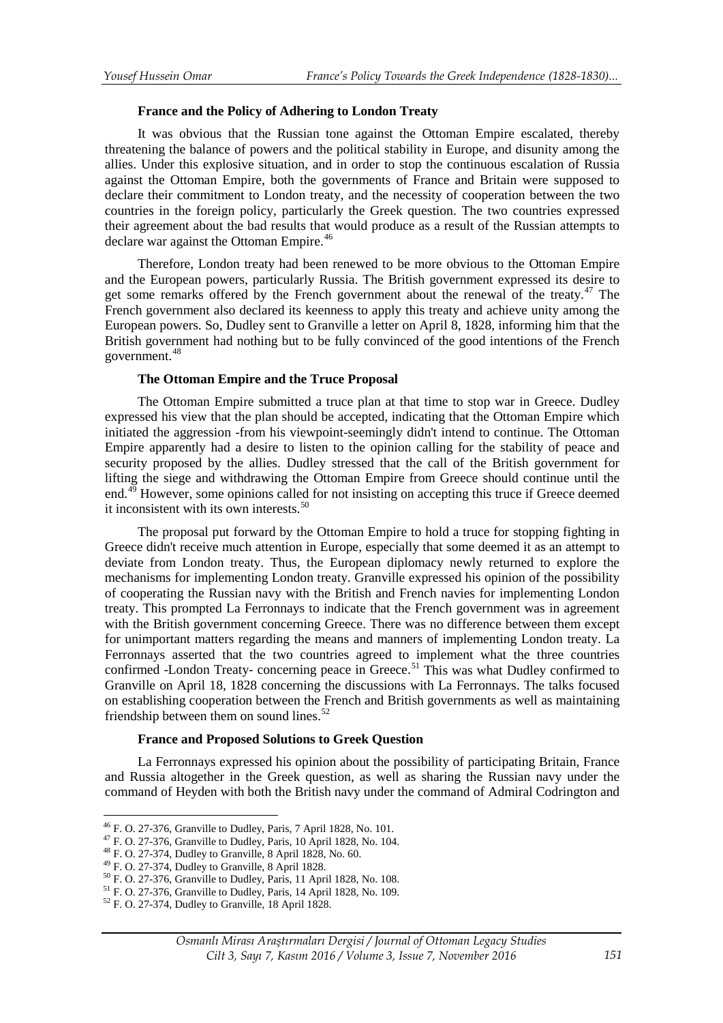# **France and the Policy of Adhering to London Treaty**

It was obvious that the Russian tone against the Ottoman Empire escalated, thereby threatening the balance of powers and the political stability in Europe, and disunity among the allies. Under this explosive situation, and in order to stop the continuous escalation of Russia against the Ottoman Empire, both the governments of France and Britain were supposed to declare their commitment to London treaty, and the necessity of cooperation between the two countries in the foreign policy, particularly the Greek question. The two countries expressed their agreement about the bad results that would produce as a result of the Russian attempts to declare war against the Ottoman Empire.<sup>[46](#page-6-0)</sup>

Therefore, London treaty had been renewed to be more obvious to the Ottoman Empire and the European powers, particularly Russia. The British government expressed its desire to get some remarks offered by the French government about the renewal of the treaty.<sup>[47](#page-6-1)</sup> The French government also declared its keenness to apply this treaty and achieve unity among the European powers. So, Dudley sent to Granville a letter on April 8, 1828, informing him that the British government had nothing but to be fully convinced of the good intentions of the French government.[48](#page-6-2)

# **The Ottoman Empire and the Truce Proposal**

The Ottoman Empire submitted a truce plan at that time to stop war in Greece. Dudley expressed his view that the plan should be accepted, indicating that the Ottoman Empire which initiated the aggression -from his viewpoint-seemingly didn't intend to continue. The Ottoman Empire apparently had a desire to listen to the opinion calling for the stability of peace and security proposed by the allies. Dudley stressed that the call of the British government for lifting the siege and withdrawing the Ottoman Empire from Greece should continue until the end.<sup>[49](#page-6-3)</sup> However, some opinions called for not insisting on accepting this truce if Greece deemed it inconsistent with its own interests.<sup>50</sup>

The proposal put forward by the Ottoman Empire to hold a truce for stopping fighting in Greece didn't receive much attention in Europe, especially that some deemed it as an attempt to deviate from London treaty. Thus, the European diplomacy newly returned to explore the mechanisms for implementing London treaty. Granville expressed his opinion of the possibility of cooperating the Russian navy with the British and French navies for implementing London treaty. This prompted La Ferronnays to indicate that the French government was in agreement with the British government concerning Greece. There was no difference between them except for unimportant matters regarding the means and manners of implementing London treaty. La Ferronnays asserted that the two countries agreed to implement what the three countries confirmed -London Treaty- concerning peace in Greece.<sup>[51](#page-6-5)</sup> This was what Dudley confirmed to Granville on April 18, 1828 concerning the discussions with La Ferronnays. The talks focused on establishing cooperation between the French and British governments as well as maintaining friendship between them on sound lines. $52$ 

### **France and Proposed Solutions to Greek Question**

La Ferronnays expressed his opinion about the possibility of participating Britain, France and Russia altogether in the Greek question, as well as sharing the Russian navy under the command of Heyden with both the British navy under the command of Admiral Codrington and

<span id="page-6-0"></span><sup>&</sup>lt;sup>46</sup> F. O. 27-376, Granville to Dudley, Paris, 7 April 1828, No. 101.

<span id="page-6-4"></span><span id="page-6-3"></span>

<span id="page-6-2"></span><span id="page-6-1"></span><sup>&</sup>lt;sup>47</sup> F. O. 27-376, Granville to Dudley, Paris, 10 April 1828, No. 104.<br><sup>48</sup> F. O. 27-374, Dudley to Granville, 8 April 1828, No. 60.<br><sup>49</sup> F. O. 27-374, Dudley to Granville, 8 April 1828.<br><sup>50</sup> F. O. 27-376, Granville to Du

<span id="page-6-5"></span>

<span id="page-6-6"></span>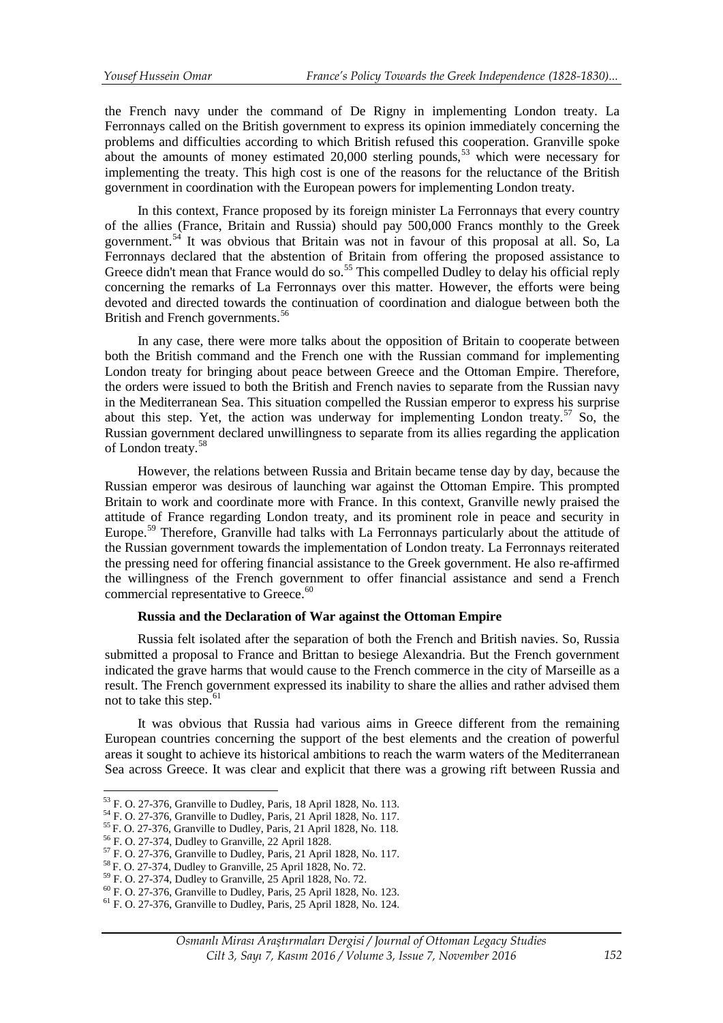the French navy under the command of De Rigny in implementing London treaty. La Ferronnays called on the British government to express its opinion immediately concerning the problems and difficulties according to which British refused this cooperation. Granville spoke about the amounts of money estimated 20,000 sterling pounds,<sup>[53](#page-7-0)</sup> which were necessary for implementing the treaty. This high cost is one of the reasons for the reluctance of the British government in coordination with the European powers for implementing London treaty.

In this context, France proposed by its foreign minister La Ferronnays that every country of the allies (France, Britain and Russia) should pay 500,000 Francs monthly to the Greek government.[54](#page-7-1) It was obvious that Britain was not in favour of this proposal at all. So, La Ferronnays declared that the abstention of Britain from offering the proposed assistance to Greece didn't mean that France would do so.<sup>55</sup> This compelled Dudley to delay his official reply concerning the remarks of La Ferronnays over this matter. However, the efforts were being devoted and directed towards the continuation of coordination and dialogue between both the British and French governments.<sup>[56](#page-7-3)</sup>

In any case, there were more talks about the opposition of Britain to cooperate between both the British command and the French one with the Russian command for implementing London treaty for bringing about peace between Greece and the Ottoman Empire. Therefore, the orders were issued to both the British and French navies to separate from the Russian navy in the Mediterranean Sea. This situation compelled the Russian emperor to express his surprise about this step. Yet, the action was underway for implementing London treaty.<sup>[57](#page-7-4)</sup> So, the Russian government declared unwillingness to separate from its allies regarding the application of London treaty.[58](#page-7-5)

However, the relations between Russia and Britain became tense day by day, because the Russian emperor was desirous of launching war against the Ottoman Empire. This prompted Britain to work and coordinate more with France. In this context, Granville newly praised the attitude of France regarding London treaty, and its prominent role in peace and security in Europe.<sup>[59](#page-7-6)</sup> Therefore, Granville had talks with La Ferronnays particularly about the attitude of the Russian government towards the implementation of London treaty. La Ferronnays reiterated the pressing need for offering financial assistance to the Greek government. He also re-affirmed the willingness of the French government to offer financial assistance and send a French commercial representative to Greece.<sup>[60](#page-7-7)</sup>

# **Russia and the Declaration of War against the Ottoman Empire**

Russia felt isolated after the separation of both the French and British navies. So, Russia submitted a proposal to France and Brittan to besiege Alexandria. But the French government indicated the grave harms that would cause to the French commerce in the city of Marseille as a result. The French government expressed its inability to share the allies and rather advised them not to take this step. $61$ 

It was obvious that Russia had various aims in Greece different from the remaining European countries concerning the support of the best elements and the creation of powerful areas it sought to achieve its historical ambitions to reach the warm waters of the Mediterranean Sea across Greece. It was clear and explicit that there was a growing rift between Russia and

<span id="page-7-0"></span> $53$  F. O. 27-376, Granville to Dudley, Paris, 18 April 1828, No. 113.

<span id="page-7-3"></span><span id="page-7-2"></span>

<span id="page-7-4"></span>

<span id="page-7-5"></span>

<span id="page-7-7"></span><span id="page-7-6"></span>

<span id="page-7-1"></span><sup>&</sup>lt;sup>54</sup> F. O. 27-376, Granville to Dudley, Paris, 21 April 1828, No. 117.<br>
<sup>55</sup> F. O. 27-376, Granville to Dudley, Paris, 21 April 1828, No. 118.<br>
<sup>56</sup> F. O. 27-374, Dudley to Granville, 22 April 1828.<br>
<sup>57</sup> F. O. 27-376, Gr

<span id="page-7-8"></span>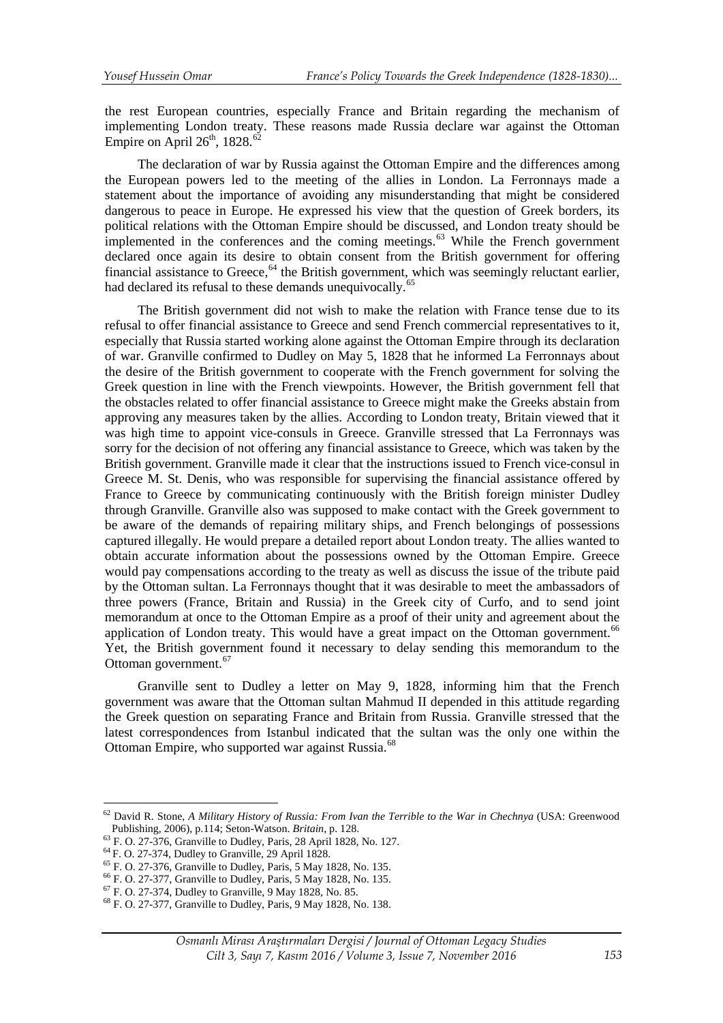the rest European countries, especially France and Britain regarding the mechanism of implementing London treaty. These reasons made Russia declare war against the Ottoman Empire on April  $26<sup>th</sup>$ , 1828.<sup>[62](#page-8-0)</sup>

The declaration of war by Russia against the Ottoman Empire and the differences among the European powers led to the meeting of the allies in London. La Ferronnays made a statement about the importance of avoiding any misunderstanding that might be considered dangerous to peace in Europe. He expressed his view that the question of Greek borders, its political relations with the Ottoman Empire should be discussed, and London treaty should be implemented in the conferences and the coming meetings. $63$  While the French government declared once again its desire to obtain consent from the British government for offering financial assistance to Greece, <sup>[64](#page-8-2)</sup> the British government, which was seemingly reluctant earlier, had declared its refusal to these demands unequivocally.<sup>[65](#page-8-3)</sup>

The British government did not wish to make the relation with France tense due to its refusal to offer financial assistance to Greece and send French commercial representatives to it, especially that Russia started working alone against the Ottoman Empire through its declaration of war. Granville confirmed to Dudley on May 5, 1828 that he informed La Ferronnays about the desire of the British government to cooperate with the French government for solving the Greek question in line with the French viewpoints. However, the British government fell that the obstacles related to offer financial assistance to Greece might make the Greeks abstain from approving any measures taken by the allies. According to London treaty, Britain viewed that it was high time to appoint vice-consuls in Greece. Granville stressed that La Ferronnays was sorry for the decision of not offering any financial assistance to Greece, which was taken by the British government. Granville made it clear that the instructions issued to French vice-consul in Greece M. St. Denis, who was responsible for supervising the financial assistance offered by France to Greece by communicating continuously with the British foreign minister Dudley through Granville. Granville also was supposed to make contact with the Greek government to be aware of the demands of repairing military ships, and French belongings of possessions captured illegally. He would prepare a detailed report about London treaty. The allies wanted to obtain accurate information about the possessions owned by the Ottoman Empire. Greece would pay compensations according to the treaty as well as discuss the issue of the tribute paid by the Ottoman sultan. La Ferronnays thought that it was desirable to meet the ambassadors of three powers (France, Britain and Russia) in the Greek city of Curfo, and to send joint memorandum at once to the Ottoman Empire as a proof of their unity and agreement about the application of London treaty. This would have a great impact on the Ottoman government.<sup>[66](#page-8-4)</sup> Yet, the British government found it necessary to delay sending this memorandum to the Ottoman government.<sup>[67](#page-8-5)</sup>

Granville sent to Dudley a letter on May 9, 1828, informing him that the French government was aware that the Ottoman sultan Mahmud II depended in this attitude regarding the Greek question on separating France and Britain from Russia. Granville stressed that the latest correspondences from Istanbul indicated that the sultan was the only one within the Ottoman Empire, who supported war against Russia.<sup>[68](#page-8-6)</sup>

<u>.</u>

<span id="page-8-0"></span><sup>62</sup> David R. Stone, *A Military History of Russia: From Ivan the Terrible to the War in Chechnya* (USA: Greenwood Publishing, 2006), p.114; Seton-Watson. *Britain*, p. 128.<br><sup>63</sup> F. O. 27-376, Granville to Dudley, Paris, 28 April 1828, No. 127.<br><sup>64</sup> F. O. 27-374, Dudley to Granville, 29 April 1828.<br><sup>65</sup> F. O. 27-376, Granville to Dudle

<span id="page-8-1"></span>

<span id="page-8-2"></span>

<span id="page-8-3"></span>

<span id="page-8-4"></span>

<span id="page-8-5"></span>

<span id="page-8-6"></span>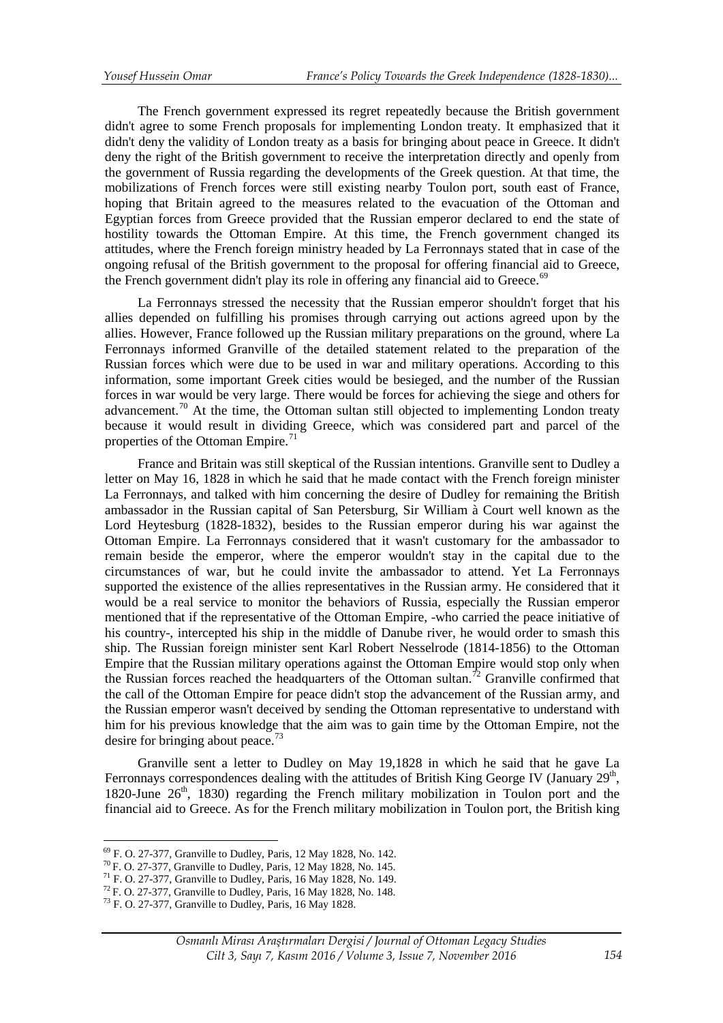The French government expressed its regret repeatedly because the British government didn't agree to some French proposals for implementing London treaty. It emphasized that it didn't deny the validity of London treaty as a basis for bringing about peace in Greece. It didn't deny the right of the British government to receive the interpretation directly and openly from the government of Russia regarding the developments of the Greek question. At that time, the mobilizations of French forces were still existing nearby Toulon port, south east of France, hoping that Britain agreed to the measures related to the evacuation of the Ottoman and Egyptian forces from Greece provided that the Russian emperor declared to end the state of hostility towards the Ottoman Empire. At this time, the French government changed its attitudes, where the French foreign ministry headed by La Ferronnays stated that in case of the ongoing refusal of the British government to the proposal for offering financial aid to Greece, the French government didn't play its role in offering any financial aid to Greece. $69$ 

La Ferronnays stressed the necessity that the Russian emperor shouldn't forget that his allies depended on fulfilling his promises through carrying out actions agreed upon by the allies. However, France followed up the Russian military preparations on the ground, where La Ferronnays informed Granville of the detailed statement related to the preparation of the Russian forces which were due to be used in war and military operations. According to this information, some important Greek cities would be besieged, and the number of the Russian forces in war would be very large. There would be forces for achieving the siege and others for advancement.<sup>[70](#page-9-1)</sup> At the time, the Ottoman sultan still objected to implementing London treaty because it would result in dividing Greece, which was considered part and parcel of the properties of the Ottoman Empire.<sup>[71](#page-9-2)</sup>

France and Britain was still skeptical of the Russian intentions. Granville sent to Dudley a letter on May 16, 1828 in which he said that he made contact with the French foreign minister La Ferronnays, and talked with him concerning the desire of Dudley for remaining the British ambassador in the Russian capital of San Petersburg, Sir William à Court well known as the Lord Heytesburg (1828-1832), besides to the Russian emperor during his war against the Ottoman Empire. La Ferronnays considered that it wasn't customary for the ambassador to remain beside the emperor, where the emperor wouldn't stay in the capital due to the circumstances of war, but he could invite the ambassador to attend. Yet La Ferronnays supported the existence of the allies representatives in the Russian army. He considered that it would be a real service to monitor the behaviors of Russia, especially the Russian emperor mentioned that if the representative of the Ottoman Empire, -who carried the peace initiative of his country-, intercepted his ship in the middle of Danube river, he would order to smash this ship. The Russian foreign minister sent Karl Robert Nesselrode (1814-1856) to the Ottoman Empire that the Russian military operations against the Ottoman Empire would stop only when the Russian forces reached the headquarters of the Ottoman sultan.<sup>[72](#page-9-3)</sup> Granville confirmed that the call of the Ottoman Empire for peace didn't stop the advancement of the Russian army, and the Russian emperor wasn't deceived by sending the Ottoman representative to understand with him for his previous knowledge that the aim was to gain time by the Ottoman Empire, not the desire for bringing about peace.<sup>[73](#page-9-4)</sup>

Granville sent a letter to Dudley on May 19,1828 in which he said that he gave La Ferronnays correspondences dealing with the attitudes of British King George IV (January  $29<sup>th</sup>$ , 1820-June  $26<sup>th</sup>$ , 1830) regarding the French military mobilization in Toulon port and the financial aid to Greece. As for the French military mobilization in Toulon port, the British king

<sup>&</sup>lt;sup>69</sup> F. O. 27-377, Granville to Dudley, Paris, 12 May 1828, No. 142.

<span id="page-9-2"></span><span id="page-9-1"></span>

<span id="page-9-0"></span><sup>&</sup>lt;sup>70</sup> F. O. 27-377, Granville to Dudley, Paris, 12 May 1828, No. 145.<br><sup>71</sup> F. O. 27-377, Granville to Dudley, Paris, 16 May 1828, No. 149.<br><sup>72</sup> F. O. 27-377, Granville to Dudley, Paris, 16 May 1828, No. 148.<br><sup>73</sup> F. O. 27-

<span id="page-9-3"></span>

<span id="page-9-4"></span>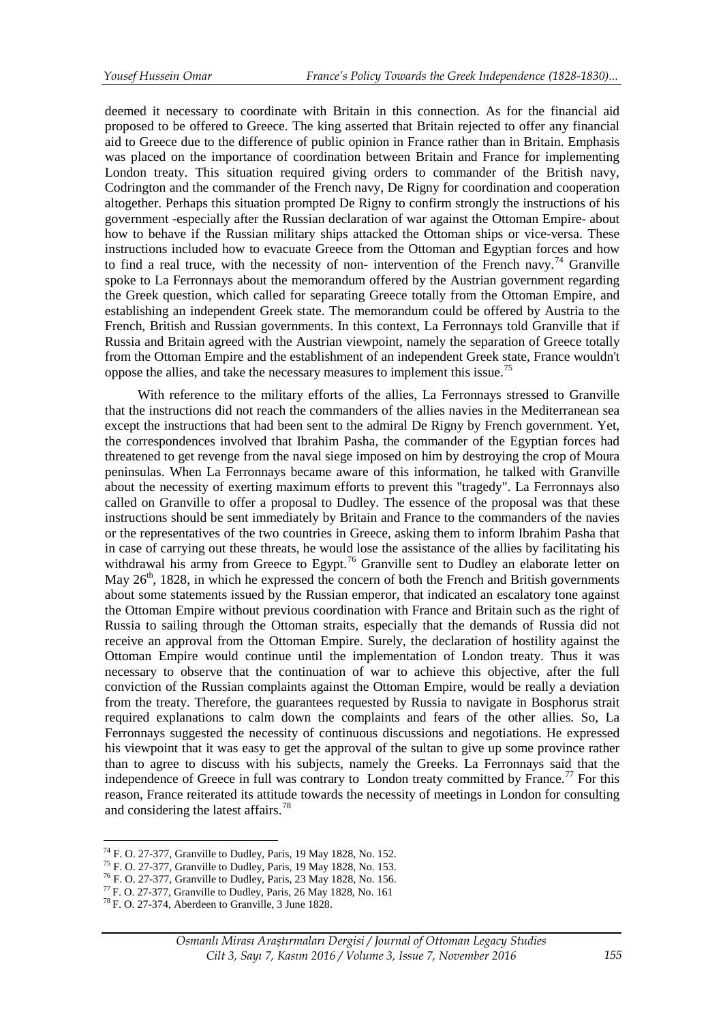deemed it necessary to coordinate with Britain in this connection. As for the financial aid proposed to be offered to Greece. The king asserted that Britain rejected to offer any financial aid to Greece due to the difference of public opinion in France rather than in Britain. Emphasis was placed on the importance of coordination between Britain and France for implementing London treaty. This situation required giving orders to commander of the British navy, Codrington and the commander of the French navy, De Rigny for coordination and cooperation altogether. Perhaps this situation prompted De Rigny to confirm strongly the instructions of his government -especially after the Russian declaration of war against the Ottoman Empire- about how to behave if the Russian military ships attacked the Ottoman ships or vice-versa. These instructions included how to evacuate Greece from the Ottoman and Egyptian forces and how to find a real truce, with the necessity of non- intervention of the French navy.<sup>[74](#page-10-0)</sup> Granville spoke to La Ferronnays about the memorandum offered by the Austrian government regarding the Greek question, which called for separating Greece totally from the Ottoman Empire, and establishing an independent Greek state. The memorandum could be offered by Austria to the French, British and Russian governments. In this context, La Ferronnays told Granville that if Russia and Britain agreed with the Austrian viewpoint, namely the separation of Greece totally from the Ottoman Empire and the establishment of an independent Greek state, France wouldn't oppose the allies, and take the necessary measures to implement this issue.[75](#page-10-1)

With reference to the military efforts of the allies, La Ferronnays stressed to Granville that the instructions did not reach the commanders of the allies navies in the Mediterranean sea except the instructions that had been sent to the admiral De Rigny by French government. Yet, the correspondences involved that Ibrahim Pasha, the commander of the Egyptian forces had threatened to get revenge from the naval siege imposed on him by destroying the crop of Moura peninsulas. When La Ferronnays became aware of this information, he talked with Granville about the necessity of exerting maximum efforts to prevent this "tragedy". La Ferronnays also called on Granville to offer a proposal to Dudley. The essence of the proposal was that these instructions should be sent immediately by Britain and France to the commanders of the navies or the representatives of the two countries in Greece, asking them to inform Ibrahim Pasha that in case of carrying out these threats, he would lose the assistance of the allies by facilitating his withdrawal his army from Greece to Egypt.<sup>[76](#page-10-2)</sup> Granville sent to Dudley an elaborate letter on May  $26<sup>th</sup>$ , 1828, in which he expressed the concern of both the French and British governments about some statements issued by the Russian emperor, that indicated an escalatory tone against the Ottoman Empire without previous coordination with France and Britain such as the right of Russia to sailing through the Ottoman straits, especially that the demands of Russia did not receive an approval from the Ottoman Empire. Surely, the declaration of hostility against the Ottoman Empire would continue until the implementation of London treaty. Thus it was necessary to observe that the continuation of war to achieve this objective, after the full conviction of the Russian complaints against the Ottoman Empire, would be really a deviation from the treaty. Therefore, the guarantees requested by Russia to navigate in Bosphorus strait required explanations to calm down the complaints and fears of the other allies. So, La Ferronnays suggested the necessity of continuous discussions and negotiations. He expressed his viewpoint that it was easy to get the approval of the sultan to give up some province rather than to agree to discuss with his subjects, namely the Greeks. La Ferronnays said that the independence of Greece in full was contrary to London treaty committed by France.<sup>[77](#page-10-3)</sup> For this reason, France reiterated its attitude towards the necessity of meetings in London for consulting and considering the latest affairs.<sup>[78](#page-10-4)</sup>

<sup>&</sup>lt;sup>74</sup> F. O. 27-377, Granville to Dudley, Paris, 19 May 1828, No. 152.

<span id="page-10-2"></span><span id="page-10-1"></span>

<span id="page-10-0"></span><sup>&</sup>lt;sup>75</sup> F. O. 27-377, Granville to Dudley, Paris, 19 May 1828, No. 153.<br><sup>76</sup> F. O. 27-377, Granville to Dudley, Paris, 23 May 1828, No. 156.<br><sup>77</sup> F. O. 27-377, Granville to Dudley, Paris, 26 May 1828, No. 161<br><sup>78</sup> F. O. 27-3

<span id="page-10-3"></span>

<span id="page-10-4"></span>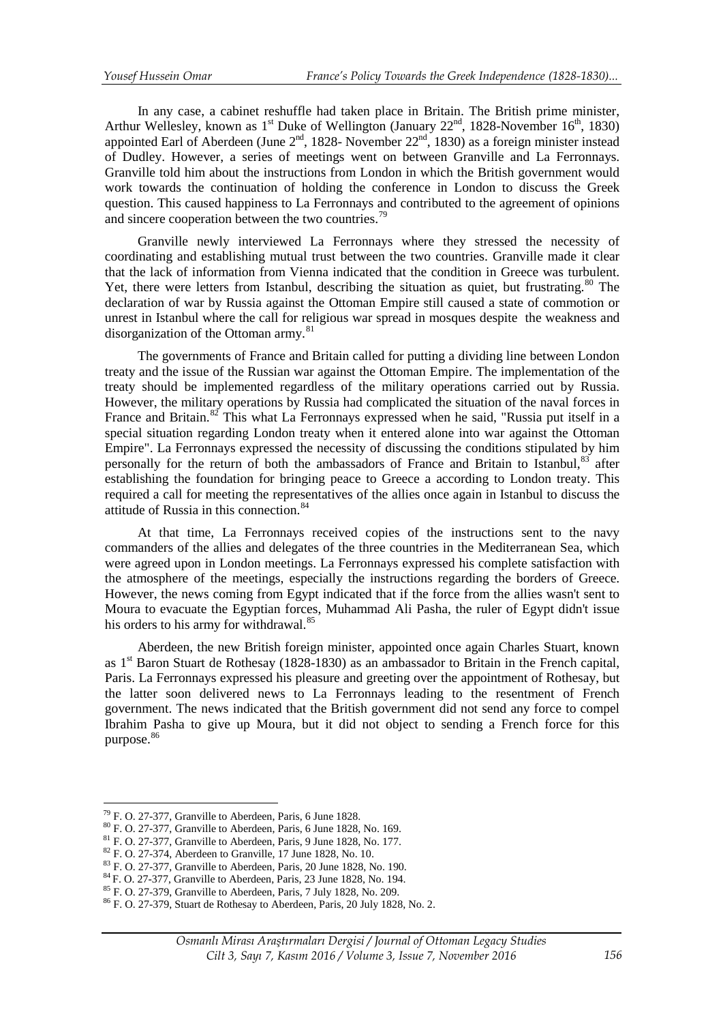In any case, a cabinet reshuffle had taken place in Britain. The British prime minister, Arthur Wellesley, known as 1<sup>st</sup> Duke of Wellington (January  $22<sup>nd</sup>$ , 1828-November 16<sup>th</sup>, 1830) appointed Earl of Aberdeen (June  $2<sup>nd</sup>$ , 1828- November  $22<sup>nd</sup>$ , 1830) as a foreign minister instead of Dudley. However, a series of meetings went on between Granville and La Ferronnays. Granville told him about the instructions from London in which the British government would work towards the continuation of holding the conference in London to discuss the Greek question. This caused happiness to La Ferronnays and contributed to the agreement of opinions and sincere cooperation between the two countries.<sup>[79](#page-11-0)</sup>

Granville newly interviewed La Ferronnays where they stressed the necessity of coordinating and establishing mutual trust between the two countries. Granville made it clear that the lack of information from Vienna indicated that the condition in Greece was turbulent. Yet, there were letters from Istanbul, describing the situation as quiet, but frustrating.<sup>[80](#page-11-1)</sup> The declaration of war by Russia against the Ottoman Empire still caused a state of commotion or unrest in Istanbul where the call for religious war spread in mosques despite the weakness and disorganization of the Ottoman army.<sup>[81](#page-11-2)</sup>

The governments of France and Britain called for putting a dividing line between London treaty and the issue of the Russian war against the Ottoman Empire. The implementation of the treaty should be implemented regardless of the military operations carried out by Russia. However, the military operations by Russia had complicated the situation of the naval forces in France and Britain.<sup>[82](#page-11-3)</sup> This what La Ferronnays expressed when he said, "Russia put itself in a special situation regarding London treaty when it entered alone into war against the Ottoman Empire". La Ferronnays expressed the necessity of discussing the conditions stipulated by him personally for the return of both the ambassadors of France and Britain to Istanbul, $83$  after establishing the foundation for bringing peace to Greece a according to London treaty. This required a call for meeting the representatives of the allies once again in Istanbul to discuss the attitude of Russia in this connection.<sup>[84](#page-11-5)</sup>

At that time, La Ferronnays received copies of the instructions sent to the navy commanders of the allies and delegates of the three countries in the Mediterranean Sea, which were agreed upon in London meetings. La Ferronnays expressed his complete satisfaction with the atmosphere of the meetings, especially the instructions regarding the borders of Greece. However, the news coming from Egypt indicated that if the force from the allies wasn't sent to Moura to evacuate the Egyptian forces, Muhammad Ali Pasha, the ruler of Egypt didn't issue his orders to his army for withdrawal.<sup>[85](#page-11-6)</sup>

Aberdeen, the new British foreign minister, appointed once again Charles Stuart, known as 1st Baron Stuart de Rothesay (1828-1830) as an ambassador to Britain in the French capital, Paris. La Ferronnays expressed his pleasure and greeting over the appointment of Rothesay, but the latter soon delivered news to La Ferronnays leading to the resentment of French government. The news indicated that the British government did not send any force to compel Ibrahim Pasha to give up Moura, but it did not object to sending a French force for this purpose.<sup>[86](#page-11-7)</sup>

<u>.</u>

<span id="page-11-1"></span><span id="page-11-0"></span><sup>&</sup>lt;sup>79</sup> F. O. 27-377, Granville to Aberdeen, Paris, 6 June 1828.<br><sup>80</sup> F. O. 27-377, Granville to Aberdeen, Paris, 6 June 1828, No. 169.<br><sup>81</sup> F. O. 27-377, Granville to Aberdeen, Paris, 9 June 1828, No. 177.<br><sup>82</sup> F. O. 27-374

<span id="page-11-3"></span><span id="page-11-2"></span>

<span id="page-11-4"></span>

<span id="page-11-6"></span><span id="page-11-5"></span>

<span id="page-11-7"></span>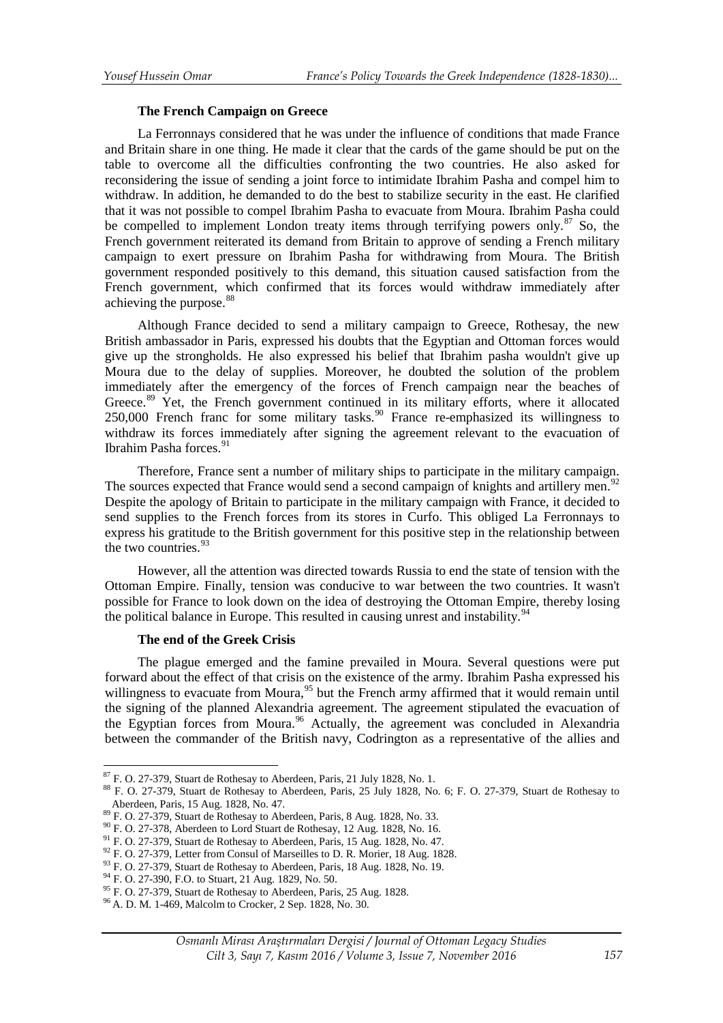### **The French Campaign on Greece**

La Ferronnays considered that he was under the influence of conditions that made France and Britain share in one thing. He made it clear that the cards of the game should be put on the table to overcome all the difficulties confronting the two countries. He also asked for reconsidering the issue of sending a joint force to intimidate Ibrahim Pasha and compel him to withdraw. In addition, he demanded to do the best to stabilize security in the east. He clarified that it was not possible to compel Ibrahim Pasha to evacuate from Moura. Ibrahim Pasha could be compelled to implement London treaty items through terrifying powers only. $87$  So, the French government reiterated its demand from Britain to approve of sending a French military campaign to exert pressure on Ibrahim Pasha for withdrawing from Moura. The British government responded positively to this demand, this situation caused satisfaction from the French government, which confirmed that its forces would withdraw immediately after achieving the purpose.<sup>[88](#page-12-1)</sup>

Although France decided to send a military campaign to Greece, Rothesay, the new British ambassador in Paris, expressed his doubts that the Egyptian and Ottoman forces would give up the strongholds. He also expressed his belief that Ibrahim pasha wouldn't give up Moura due to the delay of supplies. Moreover, he doubted the solution of the problem immediately after the emergency of the forces of French campaign near the beaches of Greece.<sup>[89](#page-12-2)</sup> Yet, the French government continued in its military efforts, where it allocated 250,000 French franc for some military tasks.<sup>[90](#page-12-3)</sup> France re-emphasized its willingness to withdraw its forces immediately after signing the agreement relevant to the evacuation of Ibrahim Pasha forces.[91](#page-12-4)

Therefore, France sent a number of military ships to participate in the military campaign. The sources expected that France would send a second campaign of knights and artillery men.<sup>[92](#page-12-5)</sup> Despite the apology of Britain to participate in the military campaign with France, it decided to send supplies to the French forces from its stores in Curfo. This obliged La Ferronnays to express his gratitude to the British government for this positive step in the relationship between the two countries.  $93$ 

However, all the attention was directed towards Russia to end the state of tension with the Ottoman Empire. Finally, tension was conducive to war between the two countries. It wasn't possible for France to look down on the idea of destroying the Ottoman Empire, thereby losing the political balance in Europe. This resulted in causing unrest and instability.<sup>[94](#page-12-7)</sup>

# **The end of the Greek Crisis**

The plague emerged and the famine prevailed in Moura. Several questions were put forward about the effect of that crisis on the existence of the army. Ibrahim Pasha expressed his willingness to evacuate from Moura,  $95$  but the French army affirmed that it would remain until the signing of the planned Alexandria agreement. The agreement stipulated the evacuation of the Egyptian forces from Moura.<sup>[96](#page-12-9)</sup> Actually, the agreement was concluded in Alexandria between the commander of the British navy, Codrington as a representative of the allies and

<sup>&</sup>lt;sup>87</sup> F. O. 27-379, Stuart de Rothesay to Aberdeen, Paris, 21 July 1828, No. 1.

<span id="page-12-1"></span><span id="page-12-0"></span><sup>88</sup> F. O. 27-379, Stuart de Rothesay to Aberdeen, Paris, 25 July 1828, No. 6; F. O. 27-379, Stuart de Rothesay to Aberdeen, Paris, 15 Aug. 1828, No. 47.

<span id="page-12-3"></span>

<span id="page-12-4"></span>

<span id="page-12-2"></span><sup>&</sup>lt;sup>89</sup> F. O. 27-379, Stuart de Rothesay to Aberdeen, Paris, 8 Aug. 1828, No. 33.<br><sup>90</sup> F. O. 27-378, Aberdeen to Lord Stuart de Rothesay, 12 Aug. 1828, No. 16.<br><sup>91</sup> F. O. 27-379, Stuart de Rothesay to Aberdeen, Paris, 15 Aug

<span id="page-12-6"></span><span id="page-12-5"></span>

<span id="page-12-8"></span><span id="page-12-7"></span>

<span id="page-12-9"></span>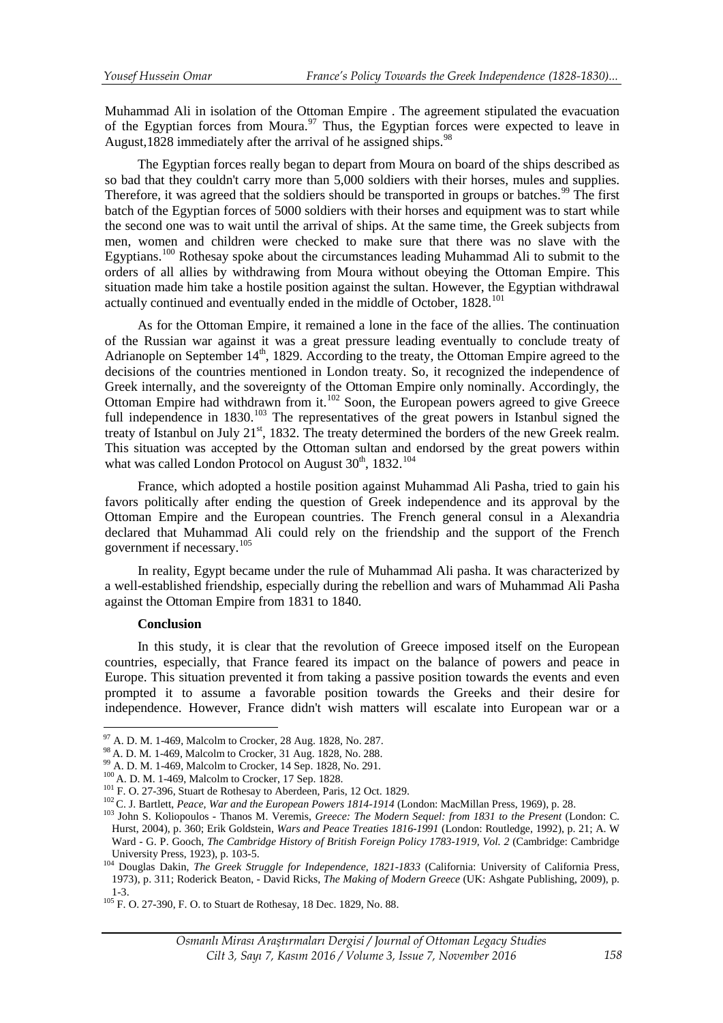Muhammad Ali in isolation of the Ottoman Empire . The agreement stipulated the evacuation of the Egyptian forces from Moura.<sup>[97](#page-13-0)</sup> Thus, the Egyptian forces were expected to leave in August,1828 immediately after the arrival of he assigned ships. $98$ 

The Egyptian forces really began to depart from Moura on board of the ships described as so bad that they couldn't carry more than 5,000 soldiers with their horses, mules and supplies. Therefore, it was agreed that the soldiers should be transported in groups or batches.<sup>[99](#page-13-2)</sup> The first batch of the Egyptian forces of 5000 soldiers with their horses and equipment was to start while the second one was to wait until the arrival of ships. At the same time, the Greek subjects from men, women and children were checked to make sure that there was no slave with the Egyptians.[100](#page-13-3) Rothesay spoke about the circumstances leading Muhammad Ali to submit to the orders of all allies by withdrawing from Moura without obeying the Ottoman Empire. This situation made him take a hostile position against the sultan. However, the Egyptian withdrawal actually continued and eventually ended in the middle of October, 1828.<sup>101</sup>

As for the Ottoman Empire, it remained a lone in the face of the allies. The continuation of the Russian war against it was a great pressure leading eventually to conclude treaty of Adrianople on September  $14<sup>th</sup>$ , 1829. According to the treaty, the Ottoman Empire agreed to the decisions of the countries mentioned in London treaty. So, it recognized the independence of Greek internally, and the sovereignty of the Ottoman Empire only nominally. Accordingly, the Ottoman Empire had withdrawn from it.<sup>[102](#page-13-4)</sup> Soon, the European powers agreed to give Greece full independence in 1830.<sup>[103](#page-13-5)</sup> The representatives of the great powers in Istanbul signed the treaty of Istanbul on July 21<sup>st</sup>, 1832. The treaty determined the borders of the new Greek realm. This situation was accepted by the Ottoman sultan and endorsed by the great powers within what was called London Protocol on August 30<sup>th</sup>, 1832.<sup>[104](#page-13-6)</sup>

France, which adopted a hostile position against Muhammad Ali Pasha, tried to gain his favors politically after ending the question of Greek independence and its approval by the Ottoman Empire and the European countries. The French general consul in a Alexandria declared that Muhammad Ali could rely on the friendship and the support of the French government if necessary.[105](#page-13-7)

In reality, Egypt became under the rule of Muhammad Ali pasha. It was characterized by a well-established friendship, especially during the rebellion and wars of Muhammad Ali Pasha against the Ottoman Empire from 1831 to 1840.

### **Conclusion**

In this study, it is clear that the revolution of Greece imposed itself on the European countries, especially, that France feared its impact on the balance of powers and peace in Europe. This situation prevented it from taking a passive position towards the events and even prompted it to assume a favorable position towards the Greeks and their desire for independence. However, France didn't wish matters will escalate into European war or a

<span id="page-13-0"></span><sup>&</sup>lt;sup>97</sup> A. D. M. 1-469. Malcolm to Crocker, 28 Aug. 1828, No. 287.

<span id="page-13-3"></span>

<span id="page-13-5"></span><span id="page-13-4"></span>

<span id="page-13-2"></span><span id="page-13-1"></span><sup>&</sup>lt;sup>98</sup> A. D. M. 1-469, Malcolm to Crocker, 31 Aug. 1828, No. 288.<br><sup>99</sup> A. D. M. 1-469, Malcolm to Crocker, 14 Sep. 1828, No. 291.<br><sup>100</sup> A. D. M. 1-469, Malcolm to Crocker, 17 Sep. 1828.<br><sup>101</sup> F. O. 27-396, Stuart de Rothesa Hurst, 2004), p. 360; Erik Goldstein, *Wars and Peace Treaties 1816-1991* (London: Routledge, 1992), p. 21; A. W Ward - G. P. Gooch, *The Cambridge History of British Foreign Policy 1783-1919, Vol. 2* (Cambridge: Cambridge

<span id="page-13-6"></span>University Press, 1923), p. 103-5. <sup>104</sup> Douglas Dakin, *The Greek Struggle for Independence, 1821-1833* (California: University of California Press, 1973), p. 311; Roderick Beaton, - David Ricks, *The Making of Modern Greece* (UK: Ashgate Publishing, 2009), p.

<span id="page-13-7"></span><sup>1-3.</sup> <sup>105</sup> F. O. 27-390, F. O. to Stuart de Rothesay, 18 Dec. 1829, No. 88.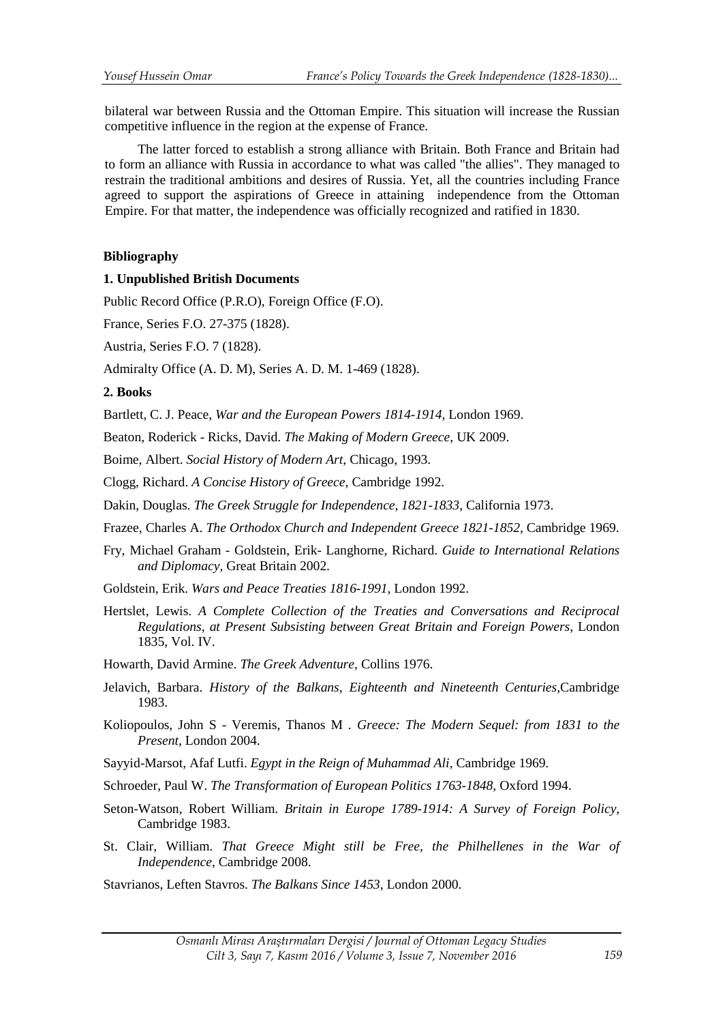bilateral war between Russia and the Ottoman Empire. This situation will increase the Russian competitive influence in the region at the expense of France.

The latter forced to establish a strong alliance with Britain. Both France and Britain had to form an alliance with Russia in accordance to what was called "the allies". They managed to restrain the traditional ambitions and desires of Russia . Yet, all the countries including France agreed to support the aspirations of Greece in attaining independence from the Ottoman Empire. For that matter, the independence was officially recognized and ratified in 1830.

# **Bibliography**

# **1. Unpublished British Documents**

Public Record Office (P.R.O), Foreign Office (F.O).

France, Series F.O. 27-375 (1828).

Austria, Series F.O. 7 (1828).

Admiralty Office (A. D. M), Series A. D. M. 1-469 (1828).

# **2. Books**

Bartlett, C. J. Peace, *War and the European Powers 1814-1914*, London 1969.

Beaton, Roderick - Ricks, David. *The Making of Modern Greece*, UK 2009.

Boime, Albert. *Social History of Modern Art*, Chicago, 1993.

Clogg, Richard. *A Concise History of Greece*, Cambridge 1992.

Dakin, Douglas. *The Greek Struggle for Independence, 1821-1833*, California 1973.

Frazee, Charles A. *The Orthodox Church and Independent Greece 1821-1852*, Cambridge 1969.

Fry, Michael Graham - Goldstein, Erik- Langhorne, Richard. *Guide to International Relations and Diplomacy,* Great Britain 2002.

Goldstein, Erik. *Wars and Peace Treaties 1816-1991*, London 1992.

Hertslet, Lewis. *A Complete Collection of the Treaties and Conversations and Reciprocal Regulations, at Present Subsisting between Great Britain and Foreign Powers*, London 1835, Vol. IV.

Howarth, David Armine. *The Greek Adventure*, Collins 1976.

- Jelavich, Barbara. *History of the Balkans, Eighteenth and Nineteenth Centuries,*Cambridge 1983.
- Koliopoulos, John S Veremis, Thanos M . *Greece: The Modern Sequel: from 1831 to the Present*, London 2004.

Sayyid-Marsot, Afaf Lutfi. *Egypt in the Reign of Muhammad Ali*, Cambridge 1969.

Schroeder, Paul W. *The Transformation of European Politics 1763-1848,* Oxford 1994.

- Seton-Watson, Robert William. *Britain in Europe 1789-1914: A Survey of Foreign Policy*, Cambridge 1983.
- St. Clair, William. *That Greece Might still be Free, the Philhellenes in the War of Independence*, Cambridge 2008.

Stavrianos, Leften Stavros. *The Balkans Since 1453*, London 2000.